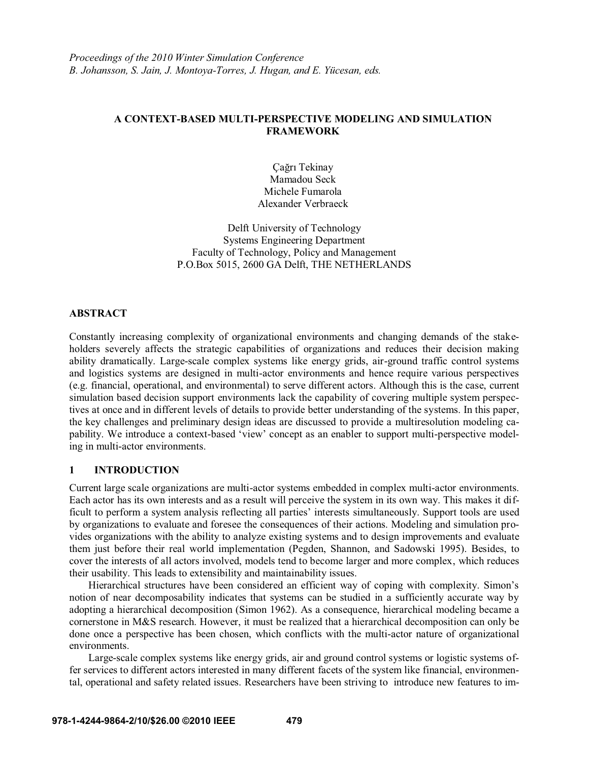# **A CONTEXT-BASED MULTI-PERSPECTIVE MODELING AND SIMULATION FRAMEWORK**

Çağrı Tekinay Mamadou Seck Michele Fumarola Alexander Verbraeck

Delft University of Technology Systems Engineering Department Faculty of Technology, Policy and Management P.O.Box 5015, 2600 GA Delft, THE NETHERLANDS

# **ABSTRACT**

Constantly increasing complexity of organizational environments and changing demands of the stakeholders severely affects the strategic capabilities of organizations and reduces their decision making ability dramatically. Large-scale complex systems like energy grids, air-ground traffic control systems and logistics systems are designed in multi-actor environments and hence require various perspectives (e.g. financial, operational, and environmental) to serve different actors. Although this is the case, current simulation based decision support environments lack the capability of covering multiple system perspectives at once and in different levels of details to provide better understanding of the systems. In this paper, the key challenges and preliminary design ideas are discussed to provide a multiresolution modeling capability. We introduce a context-based 'view' concept as an enabler to support multi-perspective modeling in multi-actor environments.

# **1 INTRODUCTION**

Current large scale organizations are multi-actor systems embedded in complex multi-actor environments. Each actor has its own interests and as a result will perceive the system in its own way. This makes it difficult to perform a system analysis reflecting all parties' interests simultaneously. Support tools are used by organizations to evaluate and foresee the consequences of their actions. Modeling and simulation provides organizations with the ability to analyze existing systems and to design improvements and evaluate them just before their real world implementation (Pegden, Shannon, and Sadowski 1995). Besides, to cover the interests of all actors involved, models tend to become larger and more complex, which reduces their usability. This leads to extensibility and maintainability issues.

Hierarchical structures have been considered an efficient way of coping with complexity. Simon's notion of near decomposability indicates that systems can be studied in a sufficiently accurate way by adopting a hierarchical decomposition (Simon 1962). As a consequence, hierarchical modeling became a cornerstone in M&S research. However, it must be realized that a hierarchical decomposition can only be done once a perspective has been chosen, which conflicts with the multi-actor nature of organizational environments.

Large-scale complex systems like energy grids, air and ground control systems or logistic systems offer services to different actors interested in many different facets of the system like financial, environmental, operational and safety related issues. Researchers have been striving to introduce new features to im-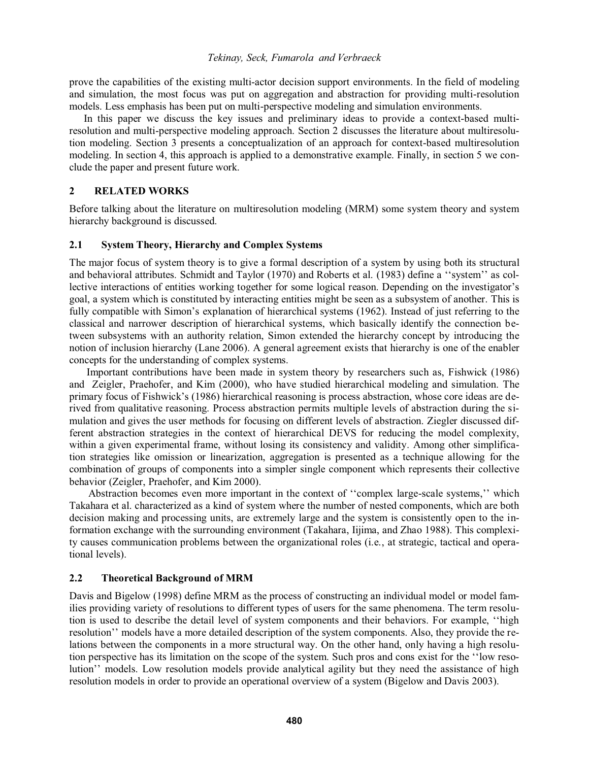prove the capabilities of the existing multi-actor decision support environments. In the field of modeling and simulation, the most focus was put on aggregation and abstraction for providing multi-resolution models. Less emphasis has been put on multi-perspective modeling and simulation environments.

In this paper we discuss the key issues and preliminary ideas to provide a context-based multiresolution and multi-perspective modeling approach. Section 2 discusses the literature about multiresolution modeling. Section 3 presents a conceptualization of an approach for context-based multiresolution modeling. In section 4, this approach is applied to a demonstrative example. Finally, in section 5 we conclude the paper and present future work.

# **2 RELATED WORKS**

Before talking about the literature on multiresolution modeling (MRM) some system theory and system hierarchy background is discussed.

# **2.1 System Theory, Hierarchy and Complex Systems**

The major focus of system theory is to give a formal description of a system by using both its structural and behavioral attributes. Schmidt and Taylor (1970) and Roberts et al. (1983) define a "system" as collective interactions of entities working together for some logical reason. Depending on the investigator's goal, a system which is constituted by interacting entities might be seen as a subsystem of another. This is fully compatible with Simon's explanation of hierarchical systems (1962). Instead of just referring to the classical and narrower description of hierarchical systems, which basically identify the connection between subsystems with an authority relation, Simon extended the hierarchy concept by introducing the notion of inclusion hierarchy (Lane 2006). A general agreement exists that hierarchy is one of the enabler concepts for the understanding of complex systems.

Important contributions have been made in system theory by researchers such as, Fishwick (1986) and Zeigler, Praehofer, and Kim (2000), who have studied hierarchical modeling and simulation. The primary focus of Fishwick's (1986) hierarchical reasoning is process abstraction, whose core ideas are derived from qualitative reasoning. Process abstraction permits multiple levels of abstraction during the simulation and gives the user methods for focusing on different levels of abstraction. Ziegler discussed different abstraction strategies in the context of hierarchical DEVS for reducing the model complexity, within a given experimental frame, without losing its consistency and validity. Among other simplification strategies like omission or linearization, aggregation is presented as a technique allowing for the combination of groups of components into a simpler single component which represents their collective behavior (Zeigler, Praehofer, and Kim 2000).

Abstraction becomes even more important in the context of "complex large-scale systems," which Takahara et al. characterized as a kind of system where the number of nested components, which are both decision making and processing units, are extremely large and the system is consistently open to the information exchange with the surrounding environment (Takahara, Iijima, and Zhao 1988). This complexity causes communication problems between the organizational roles (i.e., at strategic, tactical and operational levels).

# **2.2 Theoretical Background of MRM**

Davis and Bigelow (1998) define MRM as the process of constructing an individual model or model families providing variety of resolutions to different types of users for the same phenomena. The term resolu tion is used to describe the detail level of system components and their behaviors. For example, "high resolution" models have a more detailed description of the system components. Also, they provide the relations between the components in a more structural way. On the other hand, only having a high resolution perspective has its limitation on the scope of the system. Such pros and cons exist for the "low resolution" models. Low resolution models provide analytical agility but they need the assistance of high resolution models in order to provide an operational overview of a system (Bigelow and Davis 2003).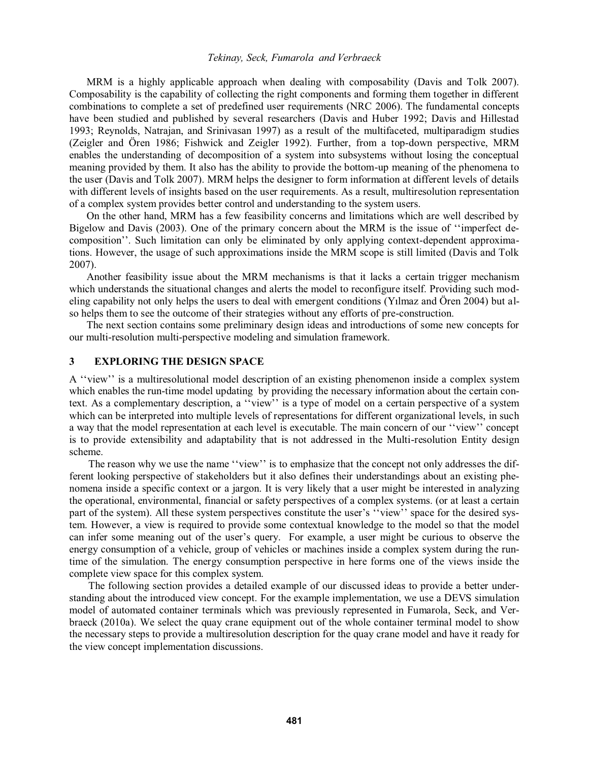MRM is a highly applicable approach when dealing with composability (Davis and Tolk 2007). Composability is the capability of collecting the right components and forming them together in different combinations to complete a set of predefined user requirements (NRC 2006). The fundamental concepts have been studied and published by several researchers (Davis and Huber 1992; Davis and Hillestad 1993; Reynolds, Natrajan, and Srinivasan 1997) as a result of the multifaceted, multiparadigm studies (Zeigler and Ören 1986; Fishwick and Zeigler 1992). Further, from a top-down perspective, MRM enables the understanding of decomposition of a system into subsystems without losing the conceptual meaning provided by them. It also has the ability to provide the bottom-up meaning of the phenomena to the user (Davis and Tolk 2007). MRM helps the designer to form information at different levels of details with different levels of insights based on the user requirements. As a result, multiresolution representation of a complex system provides better control and understanding to the system users.

On the other hand, MRM has a few feasibility concerns and limitations which are well described by Bigelow and Davis (2003). One of the primary concern about the MRM is the issue of "imperfect decomposition". Such limitation can only be eliminated by only applying context-dependent approximations. However, the usage of such approximations inside the MRM scope is still limited (Davis and Tolk 2007).

Another feasibility issue about the MRM mechanisms is that it lacks a certain trigger mechanism which understands the situational changes and alerts the model to reconfigure itself. Providing such modeling capability not only helps the users to deal with emergent conditions (Yilmaz and Ören 2004) but also helps them to see the outcome of their strategies without any efforts of pre-construction.

The next section contains some preliminary design ideas and introductions of some new concepts for our multi-resolution multi-perspective modeling and simulation framework.

# **3 EXPLORING THE DESIGN SPACE**

A "view" is a multiresolutional model description of an existing phenomenon inside a complex system which enables the run-time model updating by providing the necessary information about the certain context. As a complementary description, a "view" is a type of model on a certain perspective of a system which can be interpreted into multiple levels of representations for different organizational levels, in such a way that the model representation at each level is executable. The main concern of our "view" concept is to provide extensibility and adaptability that is not addressed in the Multi-resolution Entity design scheme.

The reason why we use the name "view" is to emphasize that the concept not only addresses the different looking perspective of stakeholders but it also defines their understandings about an existing phenomena inside a specific context or a jargon. It is very likely that a user might be interested in analyzing the operational, environmental, financial or safety perspectives of a complex systems. (or at least a certain part of the system). All these system perspectives constitute the user's "view" space for the desired system. However, a view is required to provide some contextual knowledge to the model so that the model can infer some meaning out of the user's query. For example, a user might be curious to observe the energy consumption of a vehicle, group of vehicles or machines inside a complex system during the runtime of the simulation. The energy consumption perspective in here forms one of the views inside the complete view space for this complex system.

The following section provides a detailed example of our discussed ideas to provide a better understanding about the introduced view concept. For the example implementation, we use a DEVS simulation model of automated container terminals which was previously represented in Fumarola, Seck, and Verbraeck (2010a). We select the quay crane equipment out of the whole container terminal model to show the necessary steps to provide a multiresolution description for the quay crane model and have it ready for the view concept implementation discussions.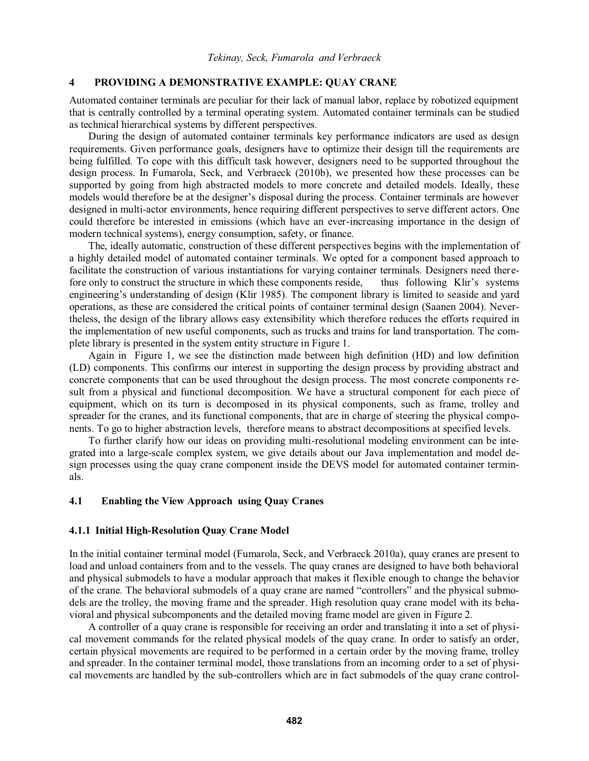# **4 PROVIDING A DEMONSTRATIVE EXAMPLE: QUAY CRANE**

Automated container terminals are peculiar for their lack of manual labor, replace by robotized equipment that is centrally controlled by a terminal operating system. Automated container terminals can be studied as technical hierarchical systems by different perspectives.

During the design of automated container terminals key performance indicators are used as design requirements. Given performance goals, designers have to optimize their design till the requirements are being fulfilled. To cope with this difficult task however, designers need to be supported throughout the design process. In Fumarola, Seck, and Verbraeck (2010b), we presented how these processes can be supported by going from high abstracted models to more concrete and detailed models. Ideally, these models would therefore be at the designer's disposal during the process. Container terminals are however designed in multi-actor environments, hence requiring different perspectives to serve different actors. One could therefore be interested in emissions (which have an ever-increasing importance in the design of modern technical systems), energy consumption, safety, or finance.

The, ideally automatic, construction of these different perspectives begins with the implementation of a highly detailed model of automated container terminals. We opted for a component based approach to facilitate the construction of various instantiations for varying container terminals. Designers need therefore only to construct the structure in which these components reside, thus following Klir's systems engineering's understanding of design (Klir 1985). The component library is limited to seaside and yard operations, as these are considered the critical points of container terminal design (Saanen 2004). Nevertheless, the design of the library allows easy extensibility which therefore reduces the efforts required in the implementation of new useful components, such as trucks and trains for land transportation. The complete library is presented in the system entity structure in Figure 1.

Again in Figure 1, we see the distinction made between high definition (HD) and low definition (LD) components. This confirms our interest in supporting the design process by providing abstract and concrete components that can be used throughout the design process. The most concrete components result from a physical and functional decomposition. We have a structural component for each piece of equipment, which on its turn is decomposed in its physical components, such as frame, trolley and spreader for the cranes, and its functional components, that are in charge of steering the physical components. To go to higher abstraction levels, therefore means to abstract decompositions at specified levels.

To further clarify how our ideas on providing multi-resolutional modeling environment can be integrated into a large-scale complex system, we give details about our Java implementation and model design processes using the quay crane component inside the DEVS model for automated container terminals.

## **4.1 Enabling the View Approach using Quay Cranes**

## **4.1.1 Initial High-Resolution Quay Crane Model**

In the initial container terminal model (Fumarola, Seck, and Verbraeck 2010a), quay cranes are present to load and unload containers from and to the vessels. The quay cranes are designed to have both behavioral and physical submodels to have a modular approach that makes it flexible enough to change the behavior of the crane. The behavioral submodels of a quay crane are named "controllers" and the physical submodels are the trolley, the moving frame and the spreader. High resolution quay crane model with its behavioral and physical subcomponents and the detailed moving frame model are given in Figure 2.

A controller of a quay crane is responsible for receiving an order and translating it into a set of physical movement commands for the related physical models of the quay crane. In order to satisfy an order, certain physical movements are required to be performed in a certain order by the moving frame, trolley and spreader. In the container terminal model, those translations from an incoming order to a set of physical movements are handled by the sub-controllers which are in fact submodels of the quay crane control-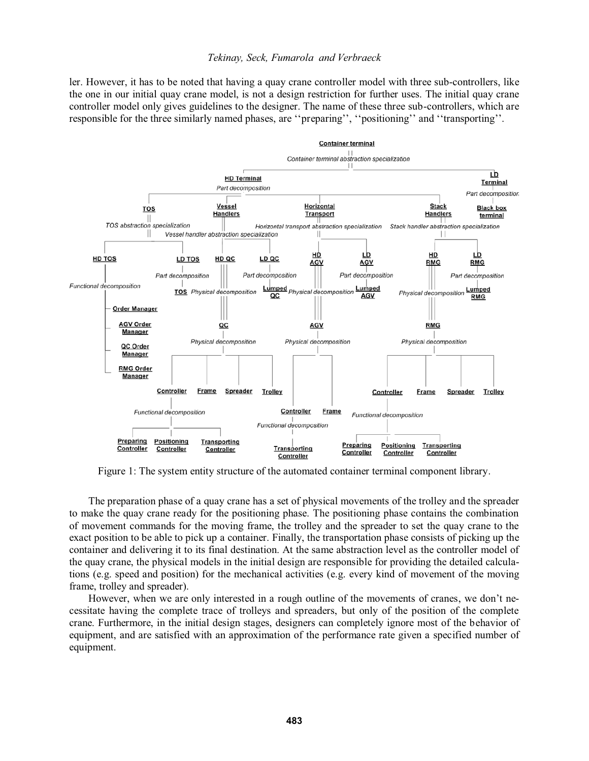ler. However, it has to be noted that having a quay crane controller model with three sub-controllers, like the one in our initial quay crane model, is not a design restriction for further uses. The initial quay crane controller model only gives guidelines to the designer. The name of these three sub-controllers, which are responsible for the three similarly named phases, are "preparing", "positioning" and "transporting".



Figure 1: The system entity structure of the automated container terminal component library.

The preparation phase of a quay crane has a set of physical movements of the trolley and the spreader to make the quay crane ready for the positioning phase. The positioning phase contains the combination of movement commands for the moving frame, the trolley and the spreader to set the quay crane to the exact position to be able to pick up a container. Finally, the transportation phase consists of picking up the container and delivering it to its final destination. At the same abstraction level as the controller model of the quay crane, the physical models in the initial design are responsible for providing the detailed calculations (e.g. speed and position) for the mechanical activities (e.g. every kind of movement of the moving frame, trolley and spreader).

However, when we are only interested in a rough outline of the movements of cranes, we don't necessitate having the complete trace of trolleys and spreaders, but only of the position of the complete crane. Furthermore, in the initial design stages, designers can completely ignore most of the behavior of equipment, and are satisfied with an approximation of the performance rate given a specified number of equipment.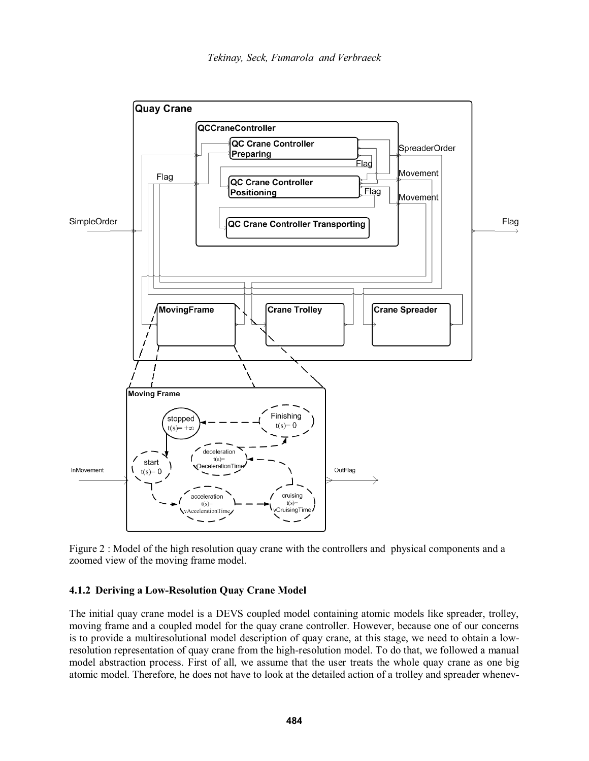

Figure 2 : Model of the high resolution quay crane with the controllers and physical components and a zoomed view of the moving frame model.

## **4.1.2 Deriving a Low-Resolution Quay Crane Model**

The initial quay crane model is a DEVS coupled model containing atomic models like spreader, trolley, moving frame and a coupled model for the quay crane controller. However, because one of our concerns is to provide a multiresolutional model description of quay crane, at this stage, we need to obtain a lowresolution representation of quay crane from the high-resolution model. To do that, we followed a manual model abstraction process. First of all, we assume that the user treats the whole quay crane as one big atomic model. Therefore, he does not have to look at the detailed action of a trolley and spreader whenev-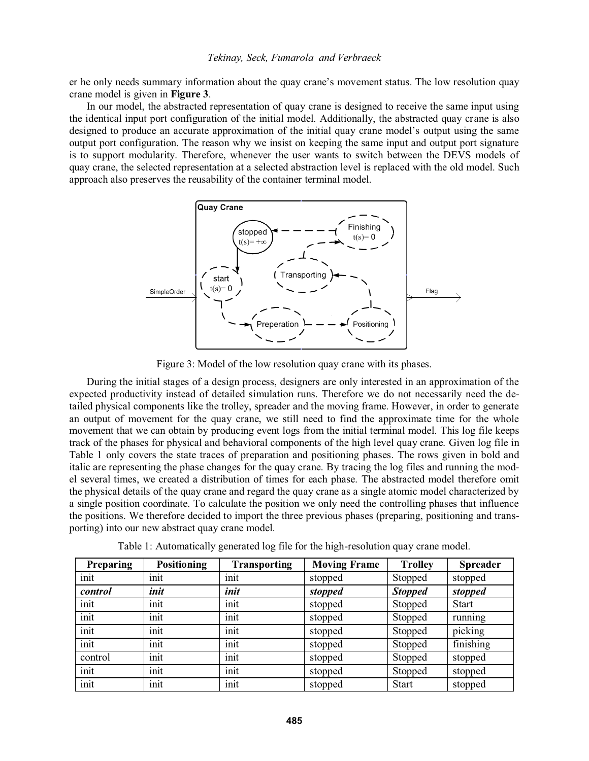er he only needs summary information about the quay crane's movement status. The low resolution quay crane model is given in **Figure 3**.

 In our model, the abstracted representation of quay crane is designed to receive the same input using the identical input port configuration of the initial model. Additionally, the abstracted quay crane is also designed to produce an accurate approximation of the initial quay crane model's output using the same output port configuration. The reason why we insist on keeping the same input and output port signature is to support modularity. Therefore, whenever the user wants to switch between the DEVS models of quay crane, the selected representation at a selected abstraction level is replaced with the old model. Such approach also preserves the reusability of the container terminal model.



Figure 3: Model of the low resolution quay crane with its phases.

During the initial stages of a design process, designers are only interested in an approximation of the expected productivity instead of detailed simulation runs. Therefore we do not necessarily need the detailed physical components like the trolley, spreader and the moving frame. However, in order to generate an output of movement for the quay crane, we still need to find the approximate time for the whole movement that we can obtain by producing event logs from the initial terminal model. This log file keeps track of the phases for physical and behavioral components of the high level quay crane. Given log file in Table 1 only covers the state traces of preparation and positioning phases. The rows given in bold and italic are representing the phase changes for the quay crane. By tracing the log files and running the model several times, we created a distribution of times for each phase. The abstracted model therefore omit the physical details of the quay crane and regard the quay crane as a single atomic model characterized by a single position coordinate. To calculate the position we only need the controlling phases that influence the positions. We therefore decided to import the three previous phases (preparing, positioning and transporting) into our new abstract quay crane model.

| Preparing | <b>Positioning</b> | <b>Transporting</b> | <b>Moving Frame</b> | <b>Trolley</b> | <b>Spreader</b> |
|-----------|--------------------|---------------------|---------------------|----------------|-----------------|
| init      | init               | init                | stopped             | Stopped        | stopped         |
| control   | init               | init                | stopped             | <b>Stopped</b> | stopped         |
| init      | init               | init                | stopped             | Stopped        | <b>Start</b>    |
| init      | init               | init                | stopped             | Stopped        | running         |
| init      | init               | init                | stopped             | Stopped        | picking         |
| init      | init               | init                | stopped             | Stopped        | finishing       |
| control   | init               | init                | stopped             | Stopped        | stopped         |
| init      | init               | init                | stopped             | Stopped        | stopped         |
| init      | init               | init                | stopped             | <b>Start</b>   | stopped         |

Table 1: Automatically generated log file for the high-resolution quay crane model.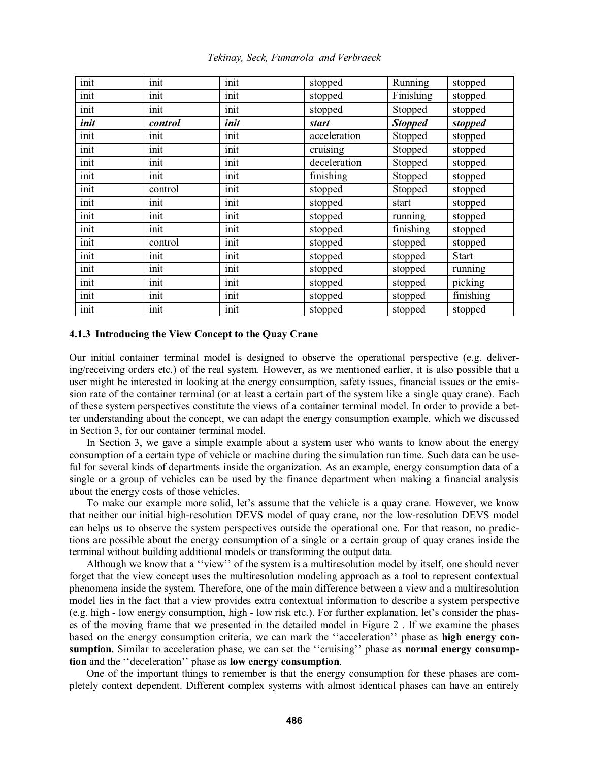| init | init    | init | stopped      | Running        | stopped      |
|------|---------|------|--------------|----------------|--------------|
| init | init    | init | stopped      | Finishing      | stopped      |
| init | init    | init | stopped      | Stopped        | stopped      |
| init | control | init | <b>start</b> | <b>Stopped</b> | stopped      |
| init | init    | init | acceleration | Stopped        | stopped      |
| init | init    | init | cruising     | Stopped        | stopped      |
| init | init    | init | deceleration | Stopped        | stopped      |
| init | init    | init | finishing    | Stopped        | stopped      |
| init | control | init | stopped      | Stopped        | stopped      |
| init | init    | init | stopped      | start          | stopped      |
| init | init    | init | stopped      | running        | stopped      |
| init | init    | init | stopped      | finishing      | stopped      |
| init | control | init | stopped      | stopped        | stopped      |
| init | init    | init | stopped      | stopped        | <b>Start</b> |
| init | init    | init | stopped      | stopped        | running      |
| init | init    | init | stopped      | stopped        | picking      |
| init | init    | init | stopped      | stopped        | finishing    |
| init | init    | init | stopped      | stopped        | stopped      |

*Tekinay, Seck, Fumarola and Verbraeck* 

### **4.1.3 Introducing the View Concept to the Quay Crane**

Our initial container terminal model is designed to observe the operational perspective (e.g. delivering/receiving orders etc.) of the real system. However, as we mentioned earlier, it is also possible that a user might be interested in looking at the energy consumption, safety issues, financial issues or the emission rate of the container terminal (or at least a certain part of the system like a single quay crane). Each of these system perspectives constitute the views of a container terminal model. In order to provide a better understanding about the concept, we can adapt the energy consumption example, which we discussed in Section 3, for our container terminal model.

In Section 3, we gave a simple example about a system user who wants to know about the energy consumption of a certain type of vehicle or machine during the simulation run time. Such data can be useful for several kinds of departments inside the organization. As an example, energy consumption data of a single or a group of vehicles can be used by the finance department when making a financial analysis about the energy costs of those vehicles.

To make our example more solid, let's assume that the vehicle is a quay crane. However, we know that neither our initial high-resolution DEVS model of quay crane, nor the low-resolution DEVS model can helps us to observe the system perspectives outside the operational one. For that reason, no predictions are possible about the energy consumption of a single or a certain group of quay cranes inside the terminal without building additional models or transforming the output data.

Although we know that a "view" of the system is a multiresolution model by itself, one should never forget that the view concept uses the multiresolution modeling approach as a tool to represent contextual phenomena inside the system. Therefore, one of the main difference between a view and a multiresolution model lies in the fact that a view provides extra contextual information to describe a system perspective  $(e.g. high - low energy consumption, high - low risk etc.).$  For further explanation, let's consider the phases of the moving frame that we presented in the detailed model in Figure 2 . If we examine the phases based on the energy consumption criteria, we can mark the "acceleration" phase as **high energy con**sumption. Similar to acceleration phase, we can set the "cruising" phase as normal energy consump**tion** and the "deceleration" phase as low energy consumption.

One of the important things to remember is that the energy consumption for these phases are completely context dependent. Different complex systems with almost identical phases can have an entirely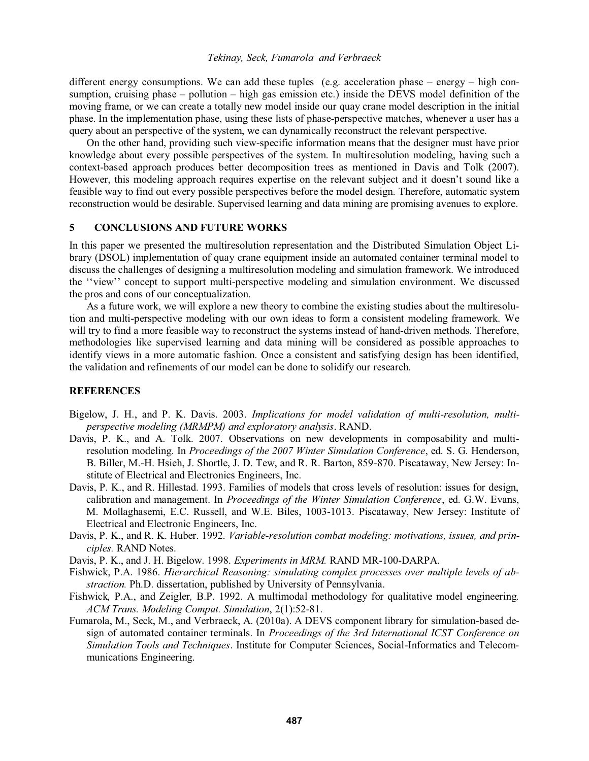different energy consumptions. We can add these tuples (e.g. acceleration phase  $-$  energy  $-$  high consumption, cruising phase  $-$  pollution  $-$  high gas emission etc.) inside the DEVS model definition of the moving frame, or we can create a totally new model inside our quay crane model description in the initial phase. In the implementation phase, using these lists of phase-perspective matches, whenever a user has a query about an perspective of the system, we can dynamically reconstruct the relevant perspective.

On the other hand, providing such view-specific information means that the designer must have prior knowledge about every possible perspectives of the system. In multiresolution modeling, having such a context-based approach produces better decomposition trees as mentioned in Davis and Tolk (2007). However, this modeling approach requires expertise on the relevant subject and it doesn't sound like a feasible way to find out every possible perspectives before the model design. Therefore, automatic system reconstruction would be desirable. Supervised learning and data mining are promising avenues to explore.

# **5 CONCLUSIONS AND FUTURE WORKS**

In this paper we presented the multiresolution representation and the Distributed Simulation Object Library (DSOL) implementation of quay crane equipment inside an automated container terminal model to discuss the challenges of designing a multiresolution modeling and simulation framework. We introduced the "view" concept to support multi-perspective modeling and simulation environment. We discussed the pros and cons of our conceptualization.

As a future work, we will explore a new theory to combine the existing studies about the multiresolution and multi-perspective modeling with our own ideas to form a consistent modeling framework. We will try to find a more feasible way to reconstruct the systems instead of hand-driven methods. Therefore, methodologies like supervised learning and data mining will be considered as possible approaches to identify views in a more automatic fashion. Once a consistent and satisfying design has been identified, the validation and refinements of our model can be done to solidify our research.

## **REFERENCES**

- Bigelow, J. H., and P. K. Davis. 2003. *Implications for model validation of multi-resolution, multiperspective modeling (MRMPM) and exploratory analysis*. RAND.
- Davis, P. K., and A. Tolk. 2007. Observations on new developments in composability and multiresolution modeling. In *Proceedings of the 2007 Winter Simulation Conference*, ed. S. G. Henderson, B. Biller, M.-H. Hsieh, J. Shortle, J. D. Tew, and R. R. Barton, 859-870. Piscataway, New Jersey: Institute of Electrical and Electronics Engineers, Inc.
- Davis, P. K., and R. Hillestad. 1993. Families of models that cross levels of resolution: issues for design, calibration and management. In *Proceedings of the Winter Simulation Conference*, ed. G.W. Evans, M. Mollaghasemi, E.C. Russell, and W.E. Biles, 1003-1013. Piscataway, New Jersey: Institute of Electrical and Electronic Engineers, Inc.
- Davis, P. K., and R. K. Huber. 1992. *Variable-resolution combat modeling: motivations, issues, and principles.* RAND Notes.
- Davis, P. K., and J. H. Bigelow. 1998. *Experiments in MRM.* RAND MR-100-DARPA.
- Fishwick, P.A. 1986. *Hierarchical Reasoning: simulating complex processes over multiple levels of abstraction.* Ph.D. dissertation, published by University of Pennsylvania.
- Fishwick*,* P.A., and Zeigler*,* B.P. 1992. A multimodal methodology for qualitative model engineering*. ACM Trans. Modeling Comput. Simulation*, 2(1):52-81.
- Fumarola, M., Seck, M., and Verbraeck, A. (2010a). A DEVS component library for simulation-based design of automated container terminals. In *Proceedings of the 3rd International ICST Conference on Simulation Tools and Techniques*. Institute for Computer Sciences, Social-Informatics and Telecommunications Engineering.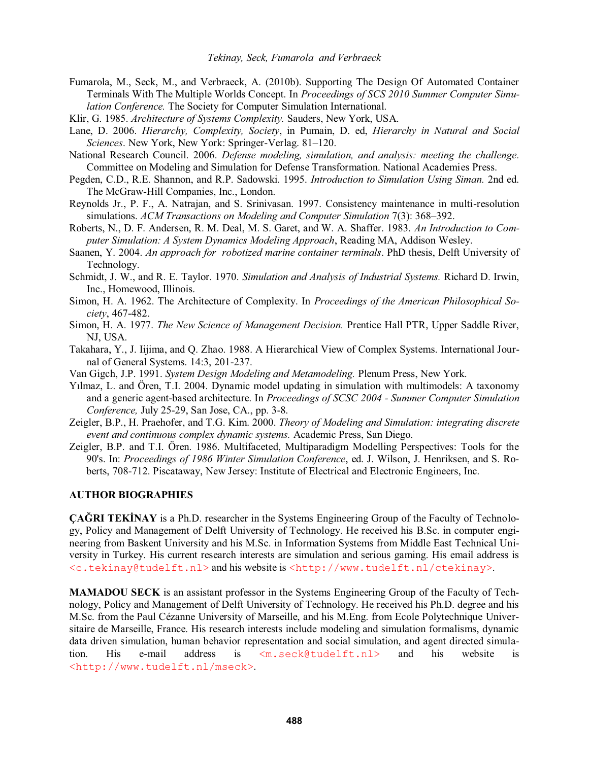- Fumarola, M., Seck, M., and Verbraeck, A. (2010b). Supporting The Design Of Automated Container Terminals With The Multiple Worlds Concept. In *Proceedings of SCS 2010 Summer Computer Simulation Conference.* The Society for Computer Simulation International.
- Klir, G. 1985. *Architecture of Systems Complexity.* Sauders, New York, USA.
- Lane, D. 2006. *Hierarchy, Complexity, Society*, in Pumain, D. ed, *Hierarchy in Natural and Social Sciences*. New York, New York: Springer-Verlag. 81-120.
- National Research Council. 2006. *Defense modeling, simulation, and analysis: meeting the challenge.* Committee on Modeling and Simulation for Defense Transformation. National Academies Press.
- Pegden, C.D., R.E. Shannon, and R.P. Sadowski. 1995. *Introduction to Simulation Using Siman.* 2nd ed. The McGraw-Hill Companies, Inc., London.
- Reynolds Jr., P. F., A. Natrajan, and S. Srinivasan. 1997. Consistency maintenance in multi-resolution simulations. *ACM Transactions on Modeling and Computer Simulation* 7(3): 368–392.
- Roberts, N., D. F. Andersen, R. M. Deal, M. S. Garet, and W. A. Shaffer. 1983. *An Introduction to Computer Simulation: A System Dynamics Modeling Approach*, Reading MA, Addison Wesley.
- Saanen, Y. 2004. *An approach for robotized marine container terminals*. PhD thesis, Delft University of Technology.
- Schmidt, J. W., and R. E. Taylor. 1970. *Simulation and Analysis of Industrial Systems.* Richard D. Irwin, Inc., Homewood, Illinois.
- Simon, H. A. 1962. The Architecture of Complexity. In *Proceedings of the American Philosophical Society*, 467-482.
- Simon, H. A. 1977. *The New Science of Management Decision.* Prentice Hall PTR, Upper Saddle River, NJ, USA.
- Takahara, Y., J. Iijima, and Q. Zhao. 1988. A Hierarchical View of Complex Systems. International Journal of General Systems. 14:3, 201-237.
- Van Gigch, J.P. 1991. *System Design Modeling and Metamodeling.* Plenum Press, New York.
- Ylmaz, L. and Ören, T.I. 2004. Dynamic model updating in simulation with multimodels: A taxonomy and a generic agent-based architecture. In *Proceedings of SCSC 2004 - Summer Computer Simulation Conference,* July 25-29, San Jose, CA., pp. 3-8.
- Zeigler, B.P., H. Praehofer, and T.G. Kim. 2000. *Theory of Modeling and Simulation: integrating discrete event and continuous complex dynamic systems.* Academic Press, San Diego.
- Zeigler, B.P. and T.I. Ören. 1986. Multifaceted, Multiparadigm Modelling Perspectives: Tools for the 90's. In: *Proceedings of 1986 Winter Simulation Conference*, ed. J. Wilson, J. Henriksen, and S. Roberts, 708-712. Piscataway, New Jersey: Institute of Electrical and Electronic Engineers, Inc.

## **AUTHOR BIOGRAPHIES**

**ÇAĞRI TEKİNAY** is a Ph.D. researcher in the Systems Engineering Group of the Faculty of Technology, Policy and Management of Delft University of Technology. He received his B.Sc. in computer engineering from Baskent University and his M.Sc. in Information Systems from Middle East Technical University in Turkey. His current research interests are simulation and serious gaming. His email address is <c.tekinay@tudelft.nl> and his website is <http://www.tudelft.nl/ctekinay>.

**MAMADOU SECK** is an assistant professor in the Systems Engineering Group of the Faculty of Technology, Policy and Management of Delft University of Technology. He received his Ph.D. degree and his M.Sc. from the Paul Cézanne University of Marseille, and his M.Eng. from Ecole Polytechnique Universitaire de Marseille, France. His research interests include modeling and simulation formalisms, dynamic data driven simulation, human behavior representation and social simulation, and agent directed simulation. His e-mail address is <m.seck@tudelft.nl> and his website is <http://www.tudelft.nl/mseck>.